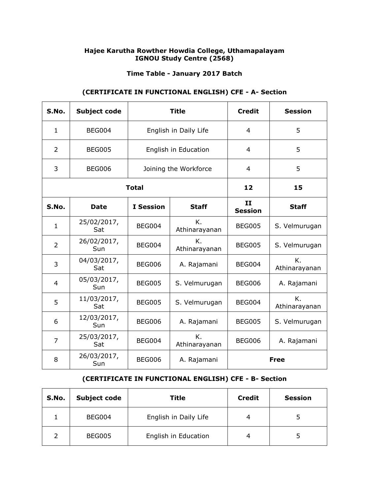### **Hajee Karutha Rowther Howdia College, Uthamapalayam IGNOU Study Centre (2568)**

### **Time Table - January 2017 Batch**

## **(CERTIFICATE IN FUNCTIONAL ENGLISH) CFE - A- Section**

| S.No.          | <b>Subject code</b> | <b>Title</b>          |                       | <b>Credit</b>        | <b>Session</b>      |
|----------------|---------------------|-----------------------|-----------------------|----------------------|---------------------|
| $\mathbf{1}$   | BEG004              |                       | English in Daily Life | 4                    | 5                   |
| 2              | <b>BEG005</b>       | English in Education  |                       | 4                    | 5                   |
| 3              | <b>BEG006</b>       | Joining the Workforce |                       | 4                    | 5                   |
| <b>Total</b>   |                     |                       | 12                    | 15                   |                     |
| S.No.          | <b>Date</b>         | <b>I</b> Session      | <b>Staff</b>          | II<br><b>Session</b> | <b>Staff</b>        |
| $\mathbf{1}$   | 25/02/2017,<br>Sat  | <b>BEG004</b>         | K.<br>Athinarayanan   | <b>BEG005</b>        | S. Velmurugan       |
| $\overline{2}$ | 26/02/2017,<br>Sun  | <b>BEG004</b>         | Κ.<br>Athinarayanan   | <b>BEG005</b>        | S. Velmurugan       |
| 3              | 04/03/2017,<br>Sat  | <b>BEG006</b>         | A. Rajamani           | <b>BEG004</b>        | K.<br>Athinarayanan |
| $\overline{4}$ | 05/03/2017,<br>Sun  | <b>BEG005</b>         | S. Velmurugan         | <b>BEG006</b>        | A. Rajamani         |
| 5              | 11/03/2017,<br>Sat  | <b>BEG005</b>         | S. Velmurugan         | <b>BEG004</b>        | Κ.<br>Athinarayanan |
| 6              | 12/03/2017,<br>Sun  | <b>BEG006</b>         | A. Rajamani           | <b>BEG005</b>        | S. Velmurugan       |
| $\overline{7}$ | 25/03/2017,<br>Sat  | <b>BEG004</b>         | K.<br>Athinarayanan   | <b>BEG006</b>        | A. Rajamani         |
| 8              | 26/03/2017,<br>Sun  | <b>BEG006</b>         | A. Rajamani           | <b>Free</b>          |                     |

### **(CERTIFICATE IN FUNCTIONAL ENGLISH) CFE - B- Section**

| S.No. | <b>Subject code</b> | Title                 | <b>Credit</b> | <b>Session</b> |
|-------|---------------------|-----------------------|---------------|----------------|
|       | BEG004              | English in Daily Life | 4             |                |
|       | <b>BEG005</b>       | English in Education  | 4             |                |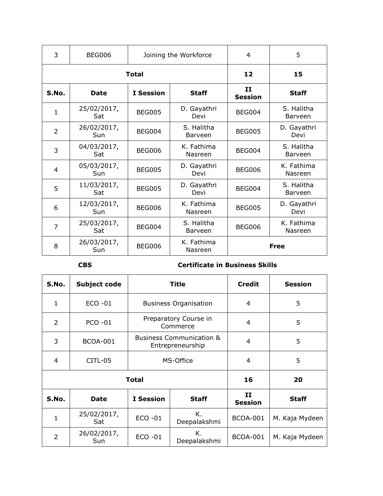| 3              | <b>BEG006</b>      | Joining the Workforce |                       | 4                           | 5                     |
|----------------|--------------------|-----------------------|-----------------------|-----------------------------|-----------------------|
|                | <b>Total</b>       | 12                    | 15                    |                             |                       |
| S.No.          | <b>Date</b>        | <b>I</b> Session      | <b>Staff</b>          | <b>II</b><br><b>Session</b> | <b>Staff</b>          |
| $\mathbf{1}$   | 25/02/2017,<br>Sat | <b>BEG005</b>         | D. Gayathri<br>Devi   | <b>BEG004</b>               | S. Halitha<br>Barveen |
| $\overline{2}$ | 26/02/2017,<br>Sun | <b>BEG004</b>         | S. Halitha<br>Barveen | <b>BEG005</b>               | D. Gayathri<br>Devi   |
| 3              | 04/03/2017,<br>Sat | <b>BEG006</b>         | K. Fathima<br>Nasreen | <b>BEG004</b>               | S. Halitha<br>Barveen |
| 4              | 05/03/2017,<br>Sun | <b>BEG005</b>         | D. Gayathri<br>Devi   | <b>BEG006</b>               | K. Fathima<br>Nasreen |
| 5              | 11/03/2017,<br>Sat | <b>BEG005</b>         | D. Gayathri<br>Devi   | <b>BEG004</b>               | S. Halitha<br>Barveen |
| 6              | 12/03/2017,<br>Sun | <b>BEG006</b>         | K. Fathima<br>Nasreen | <b>BEG005</b>               | D. Gayathri<br>Devi   |
| 7              | 25/03/2017,<br>Sat | <b>BEG004</b>         | S. Halitha<br>Barveen | <b>BEG006</b>               | K. Fathima<br>Nasreen |
| 8              | 26/03/2017,<br>Sun | <b>BEG006</b>         | K. Fathima<br>Nasreen | Free                        |                       |

## **CBS Certificate in Business Skills**

| S.No.          | Subject code       | Title                                                   |                    | <b>Credit</b>        | <b>Session</b> |
|----------------|--------------------|---------------------------------------------------------|--------------------|----------------------|----------------|
| 1              | $ECO -01$          | <b>Business Organisation</b>                            |                    | 4                    | 5              |
| 2              | <b>PCO -01</b>     | Preparatory Course in<br>Commerce                       |                    | 4                    | 5              |
| 3              | <b>BCOA-001</b>    | <b>Business Communication &amp;</b><br>Entrepreneurship |                    | 4                    | 5              |
| 4              | CITL-05            | MS-Office                                               |                    | 4                    | 5              |
| <b>Total</b>   |                    |                                                         |                    | 16                   | 20             |
| S.No.          | <b>Date</b>        | <b>I</b> Session<br><b>Staff</b>                        |                    | II<br><b>Session</b> | <b>Staff</b>   |
| $\mathbf{1}$   | 25/02/2017,<br>Sat | $ECO -01$                                               | Κ.<br>Deepalakshmi | <b>BCOA-001</b>      | M. Kaja Mydeen |
| $\overline{2}$ | 26/02/2017,<br>Sun | $ECO -01$                                               | Κ.<br>Deepalakshmi | <b>BCOA-001</b>      | M. Kaja Mydeen |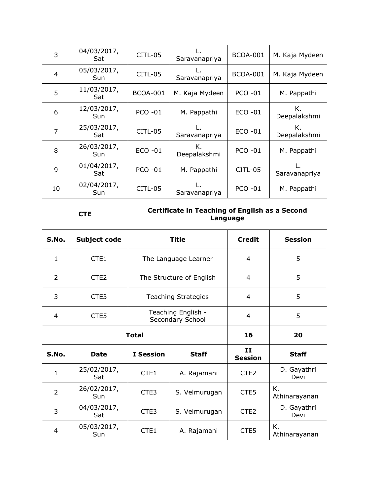| 3  | 04/03/2017,<br>Sat | CITL-05         | Saravanapriya      | <b>BCOA-001</b> | M. Kaja Mydeen     |
|----|--------------------|-----------------|--------------------|-----------------|--------------------|
| 4  | 05/03/2017,<br>Sun | CITL-05         | Saravanapriya      | <b>BCOA-001</b> | M. Kaja Mydeen     |
| 5  | 11/03/2017,<br>Sat | <b>BCOA-001</b> | M. Kaja Mydeen     | <b>PCO -01</b>  | M. Pappathi        |
| 6  | 12/03/2017,<br>Sun | $PCO - 01$      | M. Pappathi        | $ECO -01$       | Κ.<br>Deepalakshmi |
| 7  | 25/03/2017,<br>Sat | CITL-05         | Saravanapriya      | $ECO -01$       | Κ.<br>Deepalakshmi |
| 8  | 26/03/2017,<br>Sun | ECO -01         | К.<br>Deepalakshmi | <b>PCO -01</b>  | M. Pappathi        |
| 9  | 01/04/2017,<br>Sat | <b>PCO -01</b>  | M. Pappathi        | <b>CITL-05</b>  | Saravanapriya      |
| 10 | 02/04/2017,<br>Sun | CITL-05         | Saravanapriya      | <b>PCO -01</b>  | M. Pappathi        |

# **CTE Certificate in Teaching of English as a Second Language**

| S.No.          | <b>Subject code</b> |                                        | <b>Title</b>         | <b>Credit</b>        | <b>Session</b>      |
|----------------|---------------------|----------------------------------------|----------------------|----------------------|---------------------|
| 1              | CTE1                |                                        | The Language Learner | 4                    | 5                   |
| $\overline{2}$ | CTE <sub>2</sub>    | The Structure of English               |                      | 4                    | 5                   |
| 3              | CTE <sub>3</sub>    | <b>Teaching Strategies</b>             |                      | 4                    | 5                   |
| 4              | CTE <sub>5</sub>    | Teaching English -<br>Secondary School |                      | 4                    | 5                   |
|                | <b>Total</b>        | 16                                     | 20                   |                      |                     |
| S.No.          | <b>Date</b>         | <b>I</b> Session<br><b>Staff</b>       |                      | 11<br><b>Session</b> | <b>Staff</b>        |
| $\mathbf{1}$   | 25/02/2017,<br>Sat  | CTE <sub>1</sub>                       | A. Rajamani          | CTE <sub>2</sub>     | D. Gayathri<br>Devi |
| $\overline{2}$ | 26/02/2017,<br>Sun  | CTE <sub>3</sub><br>S. Velmurugan      |                      | CTE5                 | K.<br>Athinarayanan |
| 3              | 04/03/2017,<br>Sat  | CTE3                                   | S. Velmurugan        | CTE <sub>2</sub>     | D. Gayathri<br>Devi |
| 4              | 05/03/2017,<br>Sun  | CTE1                                   | A. Rajamani          | CTE5                 | Κ.<br>Athinarayanan |